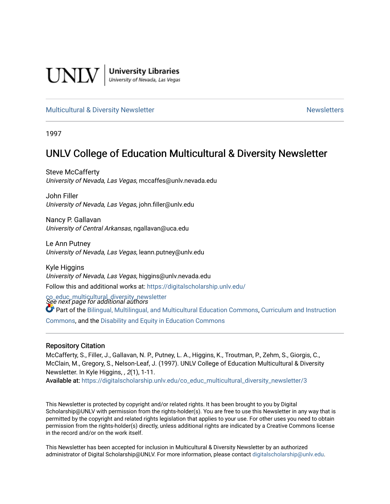

**University Libraries**<br>University of Nevada, Las Vegas

## [Multicultural & Diversity Newsletter](https://digitalscholarship.unlv.edu/co_educ_multicultural_diversity_newsletter) Newsletter [Newsletters](https://digitalscholarship.unlv.edu/co_educ_newsletters) Newsletters

1997

## UNLV College of Education Multicultural & Diversity Newsletter

Steve McCafferty University of Nevada, Las Vegas, mccaffes@unlv.nevada.edu

John Filler University of Nevada, Las Vegas, john.filler@unlv.edu

Nancy P. Gallavan University of Central Arkansas, ngallavan@uca.edu

Le Ann Putney University of Nevada, Las Vegas, leann.putney@unlv.edu

Kyle Higgins University of Nevada, Las Vegas, higgins@unlv.nevada.edu Follow this and additional works at: [https://digitalscholarship.unlv.edu/](https://digitalscholarship.unlv.edu/co_educ_multicultural_diversity_newsletter?utm_source=digitalscholarship.unlv.edu%2Fco_educ_multicultural_diversity_newsletter%2F3&utm_medium=PDF&utm_campaign=PDFCoverPages)

co\_educ\_multicultural\_diversity\_newsletter<br>See next page for additional authors

**C** Part of the [Bilingual, Multilingual, and Multicultural Education Commons,](http://network.bepress.com/hgg/discipline/785?utm_source=digitalscholarship.unlv.edu%2Fco_educ_multicultural_diversity_newsletter%2F3&utm_medium=PDF&utm_campaign=PDFCoverPages) Curriculum and Instruction [Commons](http://network.bepress.com/hgg/discipline/786?utm_source=digitalscholarship.unlv.edu%2Fco_educ_multicultural_diversity_newsletter%2F3&utm_medium=PDF&utm_campaign=PDFCoverPages), and the [Disability and Equity in Education Commons](http://network.bepress.com/hgg/discipline/1040?utm_source=digitalscholarship.unlv.edu%2Fco_educ_multicultural_diversity_newsletter%2F3&utm_medium=PDF&utm_campaign=PDFCoverPages)

#### Repository Citation

McCafferty, S., Filler, J., Gallavan, N. P., Putney, L. A., Higgins, K., Troutman, P., Zehm, S., Giorgis, C., McClain, M., Gregory, S., Nelson-Leaf, J. (1997). UNLV College of Education Multicultural & Diversity Newsletter. In Kyle Higgins, , 2(1), 1-11.

Available at: [https://digitalscholarship.unlv.edu/co\\_educ\\_multicultural\\_diversity\\_newsletter/3](https://digitalscholarship.unlv.edu/co_educ_multicultural_diversity_newsletter/3)

This Newsletter is protected by copyright and/or related rights. It has been brought to you by Digital Scholarship@UNLV with permission from the rights-holder(s). You are free to use this Newsletter in any way that is permitted by the copyright and related rights legislation that applies to your use. For other uses you need to obtain permission from the rights-holder(s) directly, unless additional rights are indicated by a Creative Commons license in the record and/or on the work itself.

This Newsletter has been accepted for inclusion in Multicultural & Diversity Newsletter by an authorized administrator of Digital Scholarship@UNLV. For more information, please contact [digitalscholarship@unlv.edu.](mailto:digitalscholarship@unlv.edu)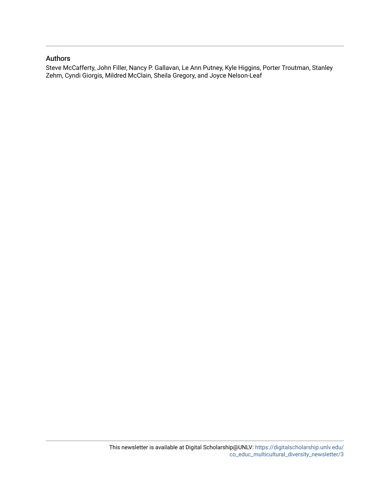## Authors

Steve McCafferty, John Filler, Nancy P. Gallavan, Le Ann Putney, Kyle Higgins, Porter Troutman, Stanley Zehm, Cyndi Giorgis, Mildred McClain, Sheila Gregory, and Joyce Nelson-Leaf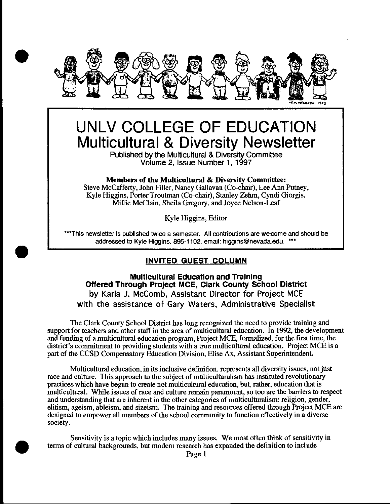

# **UNLV COLLEGE OF EDUCATION Multicultural & Diversity Newsletter**

Published by the Multicultural & Diversity Committee Volume 2, Issue Number 1, 1997

### Members of the **Multicultural** & Diversity Committee:

Steve McCafferty, John Filler, Nancy Gallavan (Co-chair), Lee Ann Putney, Kyle Higgins, Porter Troutman (Co-chair), Stanley Zehm, Cyndi Giorgis, Millie McClain, Sheila Gregory, and Joyce Nelson-Leaf

Kyle Higgins, Editor

\*\*\*This newsletter is published twice a semester. All contributions are welcome and should be addressed to Kyle Higgins, 895-1102, email: higgins@nevada.edu. \*\*\*

## **INVITED GUEST COLUMN**

•

•

**Multicultural Education and Training Offered Through Project MCE, Clark County School District**  by Karla J. McComb, Assistant Director for Project MCE with the assistance of Gary Waters, Administrative Specialist

The Clark County School District has long recognized the need to provide training and support for teachers and other staff in the area of multicultnral education. In 1992, the development and funding of a multicultnral education program, Project MCE, formalized, for the first time, the district's commitment to providing students with a true multicultural education. Project MCE is a part of the CCSD Compensatory Education Division, Elise Ax, Assistant Superintendent.

Multicultural education, in its inclusive definition, represents all diversity issues, not just race and culture. This approach to the subject of multiculturalism has instituted revolutionary practices which have begun to create not multicultnral education, but, rather, education that is multicultural. While issues of race and culture remain paramount, so too are the barriers to respect and understanding that are inherent in the other categories of multiculturalism: religion, gender, elitism, ageism, ableism, and sizeism. The training and resources offered through Project MCE are designed to empower all members of the school community to function effectively in a diverse society.

Sensitivity is a topic which includes many issues. We most often think of sensitivity in terms of cultural backgrounds, but modern research has expanded the definition to include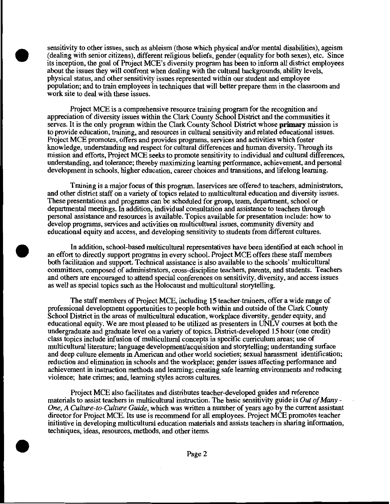sensitivity to other issues, such as ableism (those which physical and/or mental disabilities), ageism (dealing with senior citizens), different religious beliefs, gender (equality for both sexes), etc. Since its inception, the goal of Project MCE's diversity program has been to inform all district employees about the issues they will confront when dealing with the cultural backgrounds, ability levels, physical status, and other sensitivity issues represented within our student and employee population; and to train employees in techniques that will better prepare them in the classroom and work site to deal with these issues.

•

•

•

Project MCE is a comprehensive resource training program for the recognition and appreciation of diversity issues within the Clark County School District and the communities it serves. It is the only program within the Clark County School District whose **primary** mission is to provide education, training, and resources in cultural sensitivity and related educational issues. Project MCE promotes, offers and provides programs, services and activities which foster knowledge, understanding and respect for cultural differences and human diversity. Through its mission and efforts, Project MCE seeks to promote sensitivity to individual and cultural differences, understanding, and tolerance; thereby maximizing learning performance, achievement, and personal development in schools, higher education, career choices and transitions, and lifelong learning.

Training is a major focus of this program. Inservices are offered to teachers, administrators, and other district staff on a variety of topics related to multicultural education and diversity issues. These presentations and programs can be scheduled for group, team, department, school or departmental meetings. In addition, individual consultation and assistance to teachers through personal assistance and resources is available. Topics available for presentation include: how to develop programs, services and activities on multicultural issues, community diversity and educational equity and access, and developing sensitivity to students from different cultures.

In addition, school-based multicultural representatives have been identified at each school in an effort to directly support programs in every school. Project MCE offers these staff members both facilitation and support. Technical assistance is also available to the schools' multicultural committees, composed of administrators, cross-discipline teachers, parents, and students. Teachers and others are encouraged to attend special conferences on sensitivity, diversity, and access issues as well as special topics such as the Holocaust and multicultural storytelling.

The staff members of Project MCE, including 15 teacher-trainers, offer a wide range of professional development opportunities to people both within and outside of the Clark County School District in the areas of multicultural education, workplace diversity, gender equity, and educational equity. We are most pleased to be utilized as presenters in UNL V courses at both the undergraduate and graduate level on a variety of topics. District-developed 15 hour (one credit) class topics include infusion of multicultural concepts in specific curriculum areas; use of multicultural literature; language development/acquisition and storytelling; understanding surface and deep culture elements in American and other world societies; sexual harassment identification; reduction and elimination in schools and the workplace; gender issues affecting performance and achievement in instruction methods and learning; creating safe learning environments and reducing violence; hate crimes; and, learning styles across cultures.

Project MCE also facilitates and distributes teacher-developed guides and reference materials to assist teachers in multicultural instruction. The basic sensitivity guide is *Out of Many* - *One, A Culture-to-Culture Guide,* which was written a number of years ago by the current assistant director for Project MCE. Its use is recommend for all employees. Project MCE promotes teacher initiative in developing multicultural education materials and assists teachers in sharing information, techniques, ideas, resources, methods, and other items .

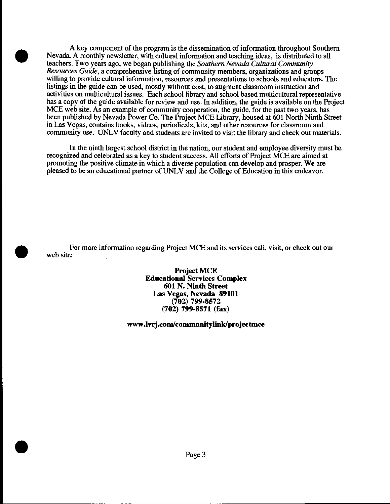A key component of the program is the dissemination of information throughout Southern Nevada. A monthly newsletter, with cultural information and teaching ideas, is distributed to all teachers. Two years ago, we began publishing the *Southern Nevada Cultural Community Resources Guide,* a comprehensive listing of community members, organizations and groups willing to provide cultural information, resources and presentations to schools and educators. The listings in the guide can be used, mostly without cost, to augment classroom instruction and activities on multicultural issues. Each school library and school based multicultural representative has a copy of the guide available for review and use. In addition, the guide is available on the Project MCE web site. As an example of community cooperation, the guide, for the past two years, has been published by Nevada Power Co. The Project MCE library, housed at 601 North Ninth Street in Las Vegas, contains books, videos, periodicals, kits, and other resources for classroom and community use. UNLV faculty and students are invited to visit the library and check out materials.

•

•

•

In the ninth largest school district in the nation, our student and employee diversity must be recognized and celebrated as a key to student success. All efforts of Project MCE are aimed at promoting the positive climate in which a diverse population can develop and prosper. We are pleased to be an educational partner ofUNLV and the College of Education in this endeavor.

For more information regarding Project MCE and its services call, visit, or check out our web site:

> **ProjectMCE Educational Services Complex 601 N. Ninth Street Las Vegas, Nevada 89101 (702) 799-8572 (702) 799-8571 (fax)**

**www.lvrj.com/communitylinkfprojectmce**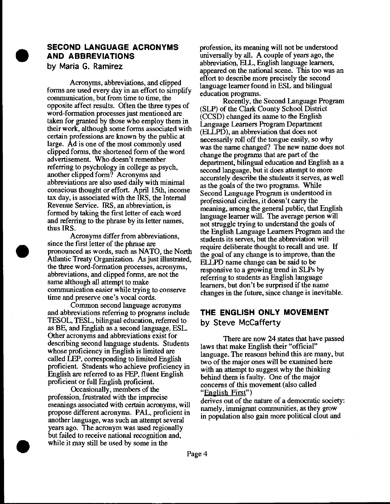## **SECOND LANGUAGE ACRONYMS AND ABBREVIATIONS**  by Maria G. Ramirez

•

•

•

Acronyms, abbreviations, and clipped forms are used every day in an effort to simplify communication, but from time to time, the opposite affect results. Often the three types of word-formation processes just mentioned are taken for granted by those who employ them in their work, although some forms associated with certain professions are known by the pubhc at large. Ad is one of the most commonly used clipped forms, the shortened form of the word advertisement. Who doesn't remember referring to psychology in college as psych, another clipped form? Acronyms and abbreviations are also used daily with minimal conscious thought or effort. April 15th, income tax day, is associated with the IRS, the Internal Revenue Service. IRS, an abbreviation, is formed by taking the first letter of each word and referring to the phrase by its letter names, thus IRS.

Acronyms differ from abbreviations, since the first letter of the phrase are pronounced as words, such as NATO, the North Atlantic Treaty Organization. As just illustrated, the three word-formation processes, acronyms, abbreviations, and clipped forms, are not the same although all attempt to make communication easier while trying to conserve time and preserve one's vocal cords.

Common second language acronyms and abbreviations referring to programs include TESOL, TESL, bilingual education, referred to as BE, and English as a second language, ESL. Other acronyms and abbreviations exist for describing second language students. Students whose proficiency in English is limited are called LEP, corresponding to limited English proficient. Students who achieve proficiency in English are referred to as FEP, fluent English proficient or full English proficient.

Occasionally, members of the profession, frustrated with the imprecise meanings associated with certain acronyms, will propose different acronyms. PAL, proficient in another language, was such an attempt several years ago. The acronym was used regionally but failed to receive national recognition and, while it may still be used by some in the

profession, its meaning will not be understood universally by all. A couple of years ago, the abbreviation, ELL, English language learners, appeared on the national scene. This too was an effort to describe more precisely the second language Ieamer found in ESL and bilingual education programs.

Recently, the Second Language Program (SLP) of the Clark County School District (CCSD) changed its name to the English Language Learners Program Department (ELLPD), an abbreviation that does not necessarily roll off the tongue easily, so why was the name changed? The new name does not change the programs that are part of the . department, bilingual education and English as a second language, but it does attempt to more accurately describe the students it serves, as well as the goals of the two programs. While Second Language Program is understood in professional circles, it doesn't carry the meaning, among the general public, that English language learner will. The average person will not struggle trying to understand the goals of the English Language Learners Program and the students its serves, but the abbreviation will require deliberate thought to recall and use. If the goal of any change is to improve, than the ELLPD name change can be said to be responsive to a growing trend in SLPs by referring to students as English language learners, but don't be surprised if the name changes' in the future, since change is inevitable.

# **THE ENGLISH ONLY MOVEMENT**

by Steve McCafferty

There are now 24 states that have passed laws that make English their "official" language. The reasons behind this are many, but two of the major ones will be examined here with an attempt to suggest why the thinking behind them is faulty. One of the major concerns of this movement (also called "English First")

derives out of the nature of a democratic society: namely, immigrant communities, as they grow in population also gain more political clout and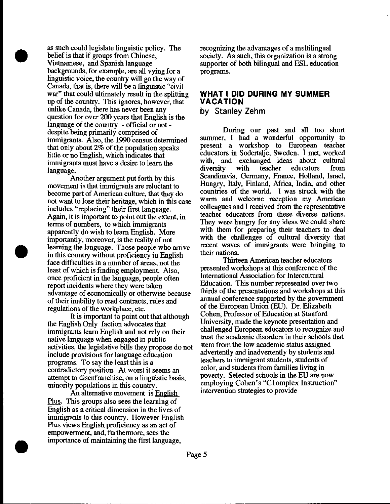as such could legislate linguistic policy. The belief is that if groups from Chinese, Vietnamese, and Spanish language backgrounds, for example, are all vying for a linguistic voice, the country will go the way of Canada, that is, there will be a linguistic "civil war" that could ultimately result in the splitting up of the country. This ignores, however, that unlike Canada, there has never been any question for over 200 years that English is the language of the country - official or not despite being primarily comprised of immigrants. Also, the 1990 census determined that only about  $2\%$  of the population speaks little or no English, which indicates that immigrants must have a desire to learn the language.

•

•

•

Another argument put forth by this movement is that immigrants are reluctant to become part of American culture, that they do not want to lose their heritage, which in this case includes "replacing" their first language. Again, it is important to point out the extent, in terms of numbers, to which immigrants apparently do wish to learn English. More importantly, moreover, is the reality of not learning the language. Those people who arrive in this country without proficiency in English face difficulties in a number of areas, not the least of which is finding employment. Also once proficient in the language, people often report incidents where they were taken advantage of economically or otherwise because of their inability to read contracts, rules and regulations of the workplace, etc.

It is important to point out that although the English Only faction advocates that immigrants learn English and not rely on their native language when engaged in public activities, the legislative bills they propose do not include provisions for language education programs. To say the least this is a contradictory position. At worst it seems an attempt to disenfranchise, on a linguistic basis, minority populations in this country.

An altemative movement is English Plus. This groups also sees the learning of English as a critical dimension in the lives of immigrants to this country. However English Plus views English proficiency as an act of empowerment, and, furthermore, sees the importance of maintaining the first language,

recognizing the advantages of a multilingual society. As such, this organization is a strong supporter of both bilingual and ESL education programs.

## **WHAT I DID DURING MY SUMMER VACATION**

**by Stanley Zehm** 

During our past and all too short sunnner, I had a wonderful opportunity to present a workshop to European teacher educators in Sodertalje, Sweden. I met, worked with, and exchanged ideas about cultural diversity with teacher educators from Scandinavia, Germany, France, Holland, Israel, Hungry, Italy, Finland, Africa, India, and other countries of the world. I was struck with the warm and welcome reception my American colleagues and I received from the representative teacher educators from these diverse nations. They were hungry for any ideas we could share with them for preparing their teachers to deal with the challenges of cultural diversity that recent waves of immigrants were bringing to their nations.

Thirteen American teacher educators presented workshops at this conference of the International Association for Intercultural Education. This number represented over two thirds of the presentations and workshops at this annual conference supported by the govennnent of the European Union (EU). Dr. Elizabeth Cohen, Professor of Education at Stanford University, made the keynote presentation and challenged European educators to recognize and treat the academic disorders in their schools that stem from the low academic status assigned advertently and inadvertently by students and teachers to immigrant students, students of color, and students from families living in poverty. Selected schools in the EU are now employing Cohen's "Clomplex Instruction" intervention strategies to provide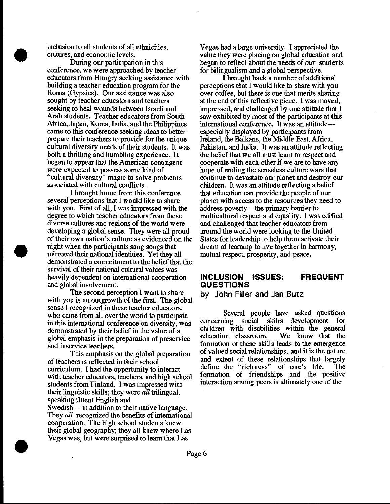inclusion to all students of all ethnicities, cultures, and economic levels.

•

•

•

During our participation in this conference, we were approached by teacher educators from Hungry seeking assistance with building a teacher education program for the Roma (Gypsies). Our assistance was also sought by teacher educators and teachers seeking to heal wounds between Israeli and Arab students. Teacher educators from South Mrica, Japan, Korea, India, and the Philippines came to this conference seeking ideas to better prepare their teachers to provide for the unique cultural diversity needs of their students. It was both a thrilling and humbling experience. It began to appear that the American contingent were expected to possess some kind of "cultural diversity" magic to solve problems associated with cultural conflicts.

I brought home from this conference several perceptions that I would like to share with you. First of all, I was impressed with the degree to which teacher educators from these diverse cultures and regions of the world were developing a global sense. They were all proud of their own nation's culture as evidenced on the night when the participants sang songs that mirrored their national identities. Yet they all demonstrated a commitment to the belief that the survival of their national cultural values was heavily dependent on international cooperation and global involvement.

The second perception I want to share with you is an outgrowth of the first. The global sense I recognized in these teacher educators, who came from all over the world to participate in this international conference on diversity, was demonstrated by their belief in the value of a global emphasis in the preparation of preservice and inservice teachers.

This emphasis on the global preparation of teachers is reflected in their school curriculum. I had the opportunity to interact with teacher educators, teachers, and high school students from Finland. I was impressed with their linguistic skills; they were *all* trilingual, speaking fluent English and Swedish-- in addition to their native language. They *all* recognized the benefits of international cooperation. The high school students knew their global geography; they all knew where Las Vegas was, but were surprised to learn that Las

Vegas had a large university. I appreciated the value they were placing on global education and began to reflect about the needs of our students for bilingualism and a global perspective.

I brought back a number of additional perceptions that I would like to share with you over coffee, but there is one that merits sharing at the end of this reflective piece. I was moved, impressed, and challenged by one attitude that I saw exhibited by most of the participants at this international conference. It was an attitude-- especially displayed by participants from Ireland, the Balkans, the Middle East, Africa, Pakistan, and India. It was an attitude reflecting the belief that we all must learn to respect and cooperate with each other if we are to have any hope of ending the senseless culture wars that continue to devastate our planet and destroy our children. It was an attitude reflecting a belief that education can provide the people of our planet with access to the resources they need to address poverty--the primary barrier to multicultural respect and equality. I was edified and challenged that teacher educators from around the world were looking to the United States for leadership to help them activate their dream of learning to live together in harmony, mutual respect, prosperity, and peace.

## **INCLUSION ISSUES: FREQUENT QUESTIONS**

**by John Filler and Jan Butz** 

Several people have asked questions concerning social skills development for children with disabilities within the general<br>education classroom. We know that the education classroom. formation of these skills leads to the emergence of valued social relationships, and it is the nature and extent of these relationships that largely define the "richness" of one's life. The formation of friendships and the positive interaction among peers is ultimately one of the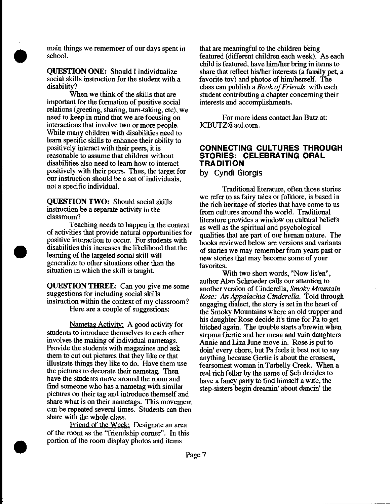

•

•

main things we remember of our days spent in school.

**QUESTION ONE:** Should I individualize social skills instruction for the student with a disability?

When we think of the skills that are important for the formation of positive social relations (greeting, sharing, tum-taking, etc), we need to keep in mind that we are focusing on interactions that involve two or more people. While many children with disabilities need to learn specific skills to enhance their ability to positively interact with their peers, it is reasonable to assume that children without disabilities also need to learn how to interact positively with their peers. Thus, the target for our instruction should be a set of individuals, not a specific individual.

**QUESTION TWO:** Should social skills instruction be a separate activity in the classroom?

Teaching needs to happen in the context of activities that provide natural opportunities for positive interaction to occur. For students with disabilities this increases the likelihood that the learning of the targeted social skill will generalize to other situations other than the situation in which the skill is taught.

**QUESTION THREE:** Can you give me some suggestions for including social skills instruction within the context of my classroom? Here are a couple of suggestions:

Nametag Activity: A good activity for students to introduce themselves to each other involves the making of individual nametags. Provide the students with magazines and ask them to cut out pictures that they like or that illustrate things they like to do. Have them use the pictures to decorate their nametag. Then have the students move around the room and find someone who has a nametag with similar pictures on their tag and introduce themself and share what is on their nametags. This movement can be repeated several times. Students can then share with the whole class.

Friend of the Week: Designate an area of the room as the "friendship comer". In this portion of the room display photos and items

that are meaningful to the children being featured (different children each week). As each child is featured, have him/her bring in items to share that reflect his/her interests (a family pet, a favorite toy) and photos of him/herself. The class can publish a *Book of Friends* with each student contributing a chapter concerning their interests and accomplishments.

For more ideas contact Jan Butz at JCBUfZ@aol.com.

## **CONNECTING CULTURES THROUGH STORIES: CELEBRATING ORAL TRADITION**

**by Cyndi Giorgis** 

Traditional literature, often those stories we refer to as fairy tales or folklore, is based in the rich heritage of stories that have come to us from cultures around the world. Traditional literature provides a window on cultural beliefs as well as the spiritual and psychological qualities that are part of our human nature. The books reviewed below are versions and variants of stories we may remember from years past or new stories that may become some of your favorites.

With two short words, "Now lis'en", author Alan Schroeder calls our attention to another version of Cinderella, *Smoky Mountain Rose: An Appalachia Cinderella.* Told through engaging dialect, the story is set in the heart of the Smoky Mountains where an old trapper and his daughter Rose decide it's time for Pa to get hitched again. The trouble starts a'brewin when stepma Gertie and her mean and vain daughters Annie and Liza June move in. Rose is put to doin' every chore, but Pa feels it best not to say anything because Gertie is about the crossest, fearsomest woman in Tarbelly Creek. When a real rich fellar by the name of Seb decides to have a fancy party to find himself a wife, the step-sisters begin dreamin' about dancin' the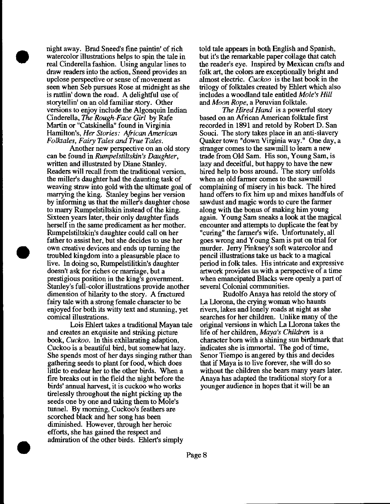night away. Brad Sneed's fine paintin' of rich watercolor illustrations helps to spin the tale in real Cinderella fashion. Using angular lines to draw readers into the action, Sneed provides an upclose perspective or sense of movement as seen when Seb pursues Rose at midnight as she is rattlin' down the road. A delightful use of storytellin' on an old familiar story. Other versions to enjoy include the Algonquin Indian Cinderella, *The Rough-Face Girl* by Rafe Martin or "Catskinella" found in Virginia Hamilton's, *Her Stories: African American Follaales, Fairy Tales* and *True Tales.* 

•

•

•

Another new perspective on an old story can be found in *Rumpelstiltskin's Daughter,*  written and illustrated by Diane Stanley. Readers will recall from the traditional version, the miller's daughter had the daunting task of weaving straw into gold with the ultimate goal of marrying the king. Stanley begins her version by informing us that the miller's daughter chose to marry Rumpelstiltskin instead of the king. Sixteen years later, their only daughter finds herself in the same predicament as her mother. Rumpelstiltskin's daughter could call on her father to assist her, but she decides to use her own creative devices and ends up turning the troubled kingdom into a pleasurable place to live. In doing so, Rumpelstilitkin's daughter doesn't ask for riches or marriage, but a prestigious position in the king's government. Stanley's full-color illustrations provide another dimension of hilarity to the story. A fractured fairy tale with a strong female character to be enjoyed for both its witty text and stunning, yet comical illustrations.

Lois Ehlert takes a traditional Mayan tale and creates an exquisite and striking picture book, *Cuckoo*. In this exhilarating adaption, Cuckoo is a beautiful bird, but somewhat lazy. She spends most of her days singing rather than gathering seeds to plant for food, which does little to endear her to the other birds. When a fire breaks out in the field the night before the birds' annual harvest, it is cuckoo who works tirelessly throughout the night picking up the seeds one by one and taking them to Mole's tunnel. By morning, Cuckoo's feathers are scorched black and her song has been diminished. However, through her heroic efforts, she has gained the respect and admiration of the other birds. Ehlert's simply

told tale appears in both English and Spanish, but it's the remarkable paper collage that catch the reader's eye. Inspired by Mexican crafts and folk art, the colors are exceptionally bright and almost electric. *Cuckoo* is the last book in the trilogy of folktales created by Ehlert which also includes a woodland tale entitled *Mole's Hill*  and *Moon Rope,* a Peruvian folktale.

*The Hired Hand* is a powerful story based on an Mrican American folktale first recorded in 1891 and retold by Robert D. San Souci. The story takes place in an anti-slavery Quaker town "down Virginia way." One day, a stranger comes to the sawmill to learn a new trade from Old Sam. His son, Young Sam, is lazy and deceitful, but happy to have the new hired help to boss around. The story unfolds when an old farmer comes to the sawmill complaining of misery in his back. The hired hand offers to fix him up and mixes handfuls of sawdust and magic words to cure the farmer along with the bonus of making him young again. Young Sam sneaks a look at the magical encounter and attempts to duplicate the feat by "curing" the farmer's wife. Unfortunately, all goes wrong and Young Sam is put on trial for murder. Jerry Pinkney's soft watercolor and pencil illustrations take us back to a magical period in folk tales. His intricate and expressive artwork provides us with a perspective of a time when emancipated Blacks were openly a part of several Colonial communities.

Rudolfo Anaya has retold the story of La Llorona, the crying woman who haunts rivers, lakes and lonely roads at night as she searches for her children. Unlike many of the original versions in which La Llorona takes the life of her children, *Maya's Children* is a character born with a shining sun birthmark that indicates she is immortal. The god of time, Senor Tiempo is angered by this and decides that if Maya is to live forever, she will do so without the children she bears many years later. Anaya has adapted the traditional story for a younger audience in hopes that it will be an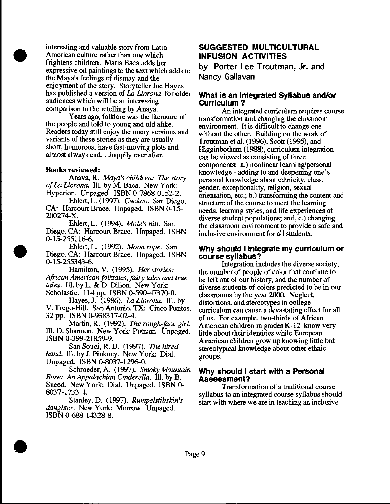interesting and valuable story from Latin American culture rather than one which frightens children. Maria Baca adds her expressive oil paintings to the text which adds to the Maya's feelings of dismay and the enjoyment of the story. Storyteller Joe Hayes has published a version of La *Uorona* for older audiences which will be an interesting comparison to the retelling by Anaya.

Years ago, folklore was the literature of the people and told to young and old alike. Readers today still enjoy the many versions and variants of these stories as they are usually short, humorous, have fast-moving plots and almost always end. . .happily ever after.

#### Books reviewed:

•

•

•

Anaya, R. *Maya's children: The story of* La *Llorona.* Ill. by M. Baca. New York: Hyperion. Unpaged. ISBN 0-7868-0152-2.

Ehlert, L. (1997). *Cuckoo.* San Diego, CA: Harcourt Brace. Unpaged. ISBN 0-15- 200274-X.

Ehlert, L. (1994). *Mole's hill.* San Diego, CA: Harcourt Brace. Unpaged. ISBN 0-15-255116-6.

Ehlert, L. ( 1992). *Moon rope.* San Diego, CA: Harcourt Brace. Unpaged. ISBN 0-15-255343-6.

Hamilton, V. (1995). *Her stories: African American folktales, fairy tales and true tales.* Ill. by L. & D. Dillon. New York: Scholastic. 114 pp. ISBN 0-590-47370-0.

Hayes, J. (1986). La *Llorona.* Ill. by V. Trego-Hill. San Antonio, TX: Cinco Puntos. 32 pp. ISBN 0-938317-02-4.

Martin, R. (1992). *The rough-face girl.*  Ill. D. Shannon. New York: Putnam. Unpaged. ISBN 0-399-21859-9.

San Souci, R. D. (1997). *The hired*  hand. Ill. by J. Pinkney. New York: Dial. Unpaged. ISBN 0-8037-1296-0.

Schroeder, A. ( 1997). *Smoky Mountain Rose:* An *Appalachian Cinderella.* Ill. by B. Sneed. New York: Dial. Unpaged. ISBN 0- 8037-1733-4.

Stanley, D. (1997). *Rumpelstiltskin's daughter.* New York: Morrow. Unpaged. ISBN 0-688-14328-8 .

## SUGGESTED MULTICULTURAL INFUSION ACTIVITIES

by Porter Lee Troutman, Jr. and Nancy Gallavan

### What is an Integrated Syllabus and/or Curriculum ?

An integrated curriculwn requires course transformation and changing the classroom environment. It is difficult to change one without the other. Building on the work of Troutman et al. (1996), Scott (1995), and Higginbotham (1988), curriculwn integration can be viewed as consisting of three components: a.) nonlinear learning/personal knowledge- adding to and deepening one's personal knowledge about ethnicity, class, gender, exceptionality, religion, sexual orientation, etc.; b.) transforming the content and structure of the course to meet the learning needs, learning styles, and life experiences of diverse student populations; and, c.) changing the classroom environment to provide a safe and inclusive environment for all students.

#### Why should I integrate my curriculum or course syllabus?

Integration includes the diverse society, the nwnber of people of color that continue to be left out of our history, and the nwnber of diverse students of colors predicted to be in our classrooms by the year 2000. Neglect, distortions, and stereotypes in college curriculwn can cause a devastating effect for all of us. For example, two-thirds of African American children in grades K-12 know very little about their identities while European American children grow up knowing little but stereotypical knowledge about other ethnic groups.

### Why should I start with a Personal Assessment?

Transformation of a traditional course syllabus to an integrated course syllabus should start with where we are in teaching an inclusive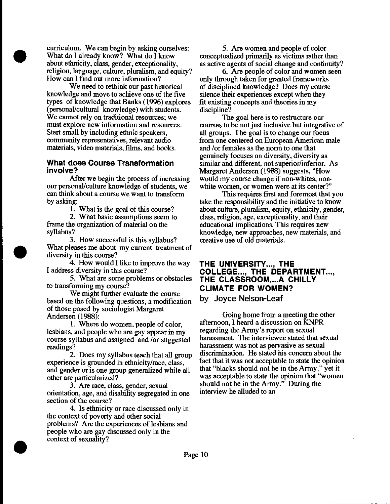curriculum. We can begin by asking ourselves: What do I already know? What do I know about ethnicity, class, gender, exceptionality, religion, language, culture, pluralism, and equity? How can I find out more information?

•

•

•

We need to rethink our past historical knowledge and move to achieve one of the five types of knowledge that Banks (1996) explores (personal/cultural knowledge) with students. We cannot rely on traditional resources; we must explore new information and resources. Start small by including ethnic speakers, community representatives, relevant audio materials, video materials, films, and books.

#### **What does Course Transformation involve?**

After we begin the process of increasing our personal/culture knowledge of students, we can think about a course we want to transform by asking:

1. What is the goal of this course?

2. What basic assumptions seem to frame the organization of material on the syllabus?

3. How successful is this syllabus? What pleases me about my current treatment of diversity in this course?

4. How would I like to improve the way I address diversity in this course?

5. What are some problems or obstacles to transforming my course?

We might further evaluate the course based on the following questions, a modification of those posed by sociologist Margaret Andersen (1988):

1. Where do women, people of color, lesbians, and people who are gay appear in my course syllabus and assigned and /or suggested readings?

2. Does my syllabus teach that all group experience is grounded in ethnicity/race, class, and gender or is one group generalized while all other are particularized?

3. Are race, class, gender, sexual orientation, age, and disability segregated in one section of the course?

4. Is ethnicity or race discussed only in the context of poverty and other social problems? Are the experiences of lesbians and people who are gay discussed only in the context of sexuality?

5. Are women and people of color conceptualized primarily as victims rather than as active agents of social change and continuity?

6. Are people of color and women seen only through taken for granted frameworks of disciplined knowledge? Does my course silence their experiences except when they fit existing concepts and theories in my discipline?

The goal here is to restructure our courses to be not just inclusive but integrative of all groups. The goal is to change our focus from one centered on European American male and /or females as the norm to one that genuinely focuses on diversity, diversity as similar and different, not superior/inferior. As Margaret Andersen (1988) suggests, "How would my course change if non-whites, nonwhite women, or women were at its center?"

This requires first and foremost that you take the responsibility and the initiative to know about culture, pluralism, equity, ethnicity, gender, class, religion, age, exceptionality, and their educational implications. This requires new knowledge, new approaches, new materials, and creative use of old materials.

## **THE UNIVERSITY ... , THE COLLEGE..., THE DEPARTMENT..., THE CLASSROOM, ... A CHILLY CLIMATE FOR WOMEN?**  by Joyce **Nelson-Leaf**

Going home from a meeting the other afternoon, I heard a discussion on KNPR regarding the Army's report on sexual harassment. The interviewee stated that sexual harassment was not as pervasive as sexual discrimination. He stated his concern about the fact that it was not acceptable to state the opinion that "blacks should not be in the Army," yet it was acceptable to state the opinion that "women should not be in the Army." During the interview he alluded to an